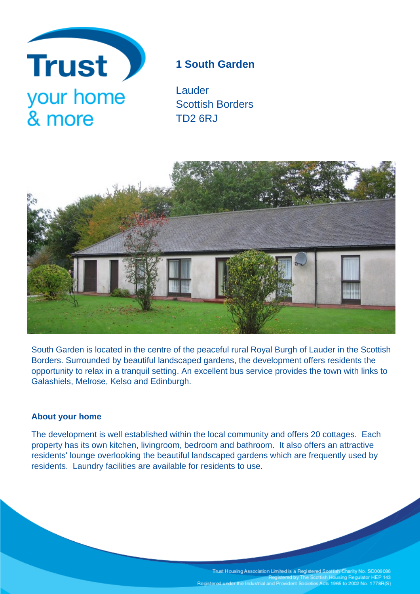

# **1 South Garden**

Lauder Scottish Borders TD2 6RJ



South Garden is located in the centre of the peaceful rural Royal Burgh of Lauder in the Scottish Borders. Surrounded by beautiful landscaped gardens, the development offers residents the opportunity to relax in a tranquil setting. An excellent bus service provides the town with links to Galashiels, Melrose, Kelso and Edinburgh.

# **About your home**

The development is well established within the local community and offers 20 cottages. Each property has its own kitchen, livingroom, bedroom and bathroom. It also offers an attractive residents' lounge overlooking the beautiful landscaped gardens which are frequently used by residents. Laundry facilities are available for residents to use.

Trust Housing Association Limited is a Registered Scottish Charity No. SC009086<br>Registered by The Scottish Housing Regulator HEP 143<br>Registered under the Industrial and Provident Societies Acts 1965 to 2002 No. 1778R(S)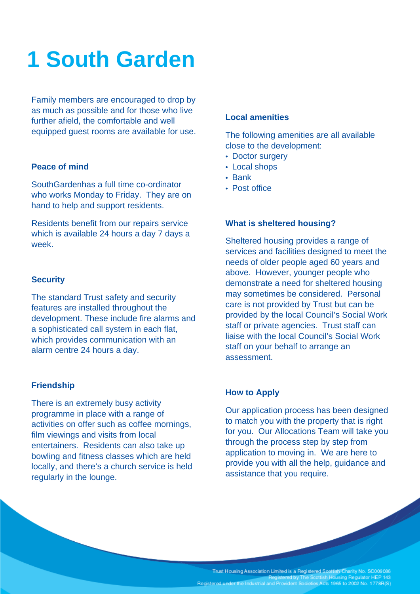# **1 South Garden**

Family members are encouraged to drop by as much as possible and for those who live further afield, the comfortable and well equipped guest rooms are available for use.

## **Peace of mind**

SouthGardenhas a full time co-ordinator who works Monday to Friday. They are on hand to help and support residents.

Residents benefit from our repairs service which is available 24 hours a day 7 days a week.

#### **Security**

The standard Trust safety and security features are installed throughout the development. These include fire alarms and a sophisticated call system in each flat, which provides communication with an alarm centre 24 hours a day.

#### **Friendship**

There is an extremely busy activity programme in place with a range of activities on offer such as coffee mornings, film viewings and visits from local entertainers. Residents can also take up bowling and fitness classes which are held locally, and there's a church service is held regularly in the lounge.

#### **Local amenities**

The following amenities are all available close to the development:

- Doctor surgery
- Local shops
- Bank
- Post office

## **What is sheltered housing?**

Sheltered housing provides a range of services and facilities designed to meet the needs of older people aged 60 years and above. However, younger people who demonstrate a need for sheltered housing may sometimes be considered. Personal care is not provided by Trust but can be provided by the local Council's Social Work staff or private agencies. Trust staff can liaise with the local Council's Social Work staff on your behalf to arrange an assessment.

## **How to Apply**

Our application process has been designed to match you with the property that is right for you. Our Allocations Team will take you through the process step by step from application to moving in. We are here to provide you with all the help, guidance and assistance that you require.

Trust Housing Association Limited is a Registered Scottish Charity No. SC009086<br>Registered by The Scottish Housing Regulator HEP 143 Registered under the Industrial and Provident Societies Acts 1965 to 2002 No. 1778R(S)